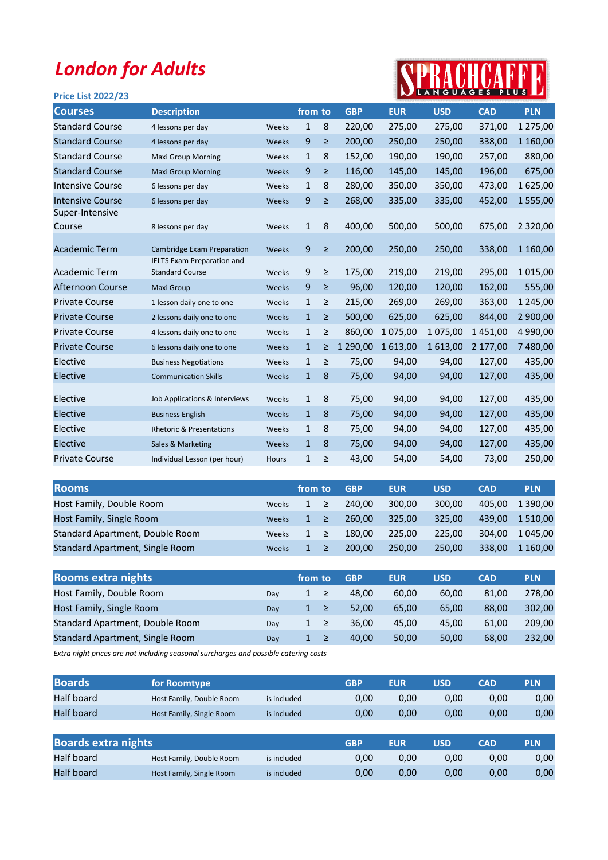## London for Adults

## SPRACHCAFFE

| <b>Price List 2022/23</b>           |                                   |              |        |            |            |            |            |                         |
|-------------------------------------|-----------------------------------|--------------|--------|------------|------------|------------|------------|-------------------------|
| <b>Description</b>                  |                                   |              |        | <b>GBP</b> | <b>EUR</b> | <b>USD</b> | <b>CAD</b> | <b>PLN</b>              |
| 4 lessons per day                   | Weeks                             | $\mathbf{1}$ | 8      | 220,00     | 275,00     | 275,00     | 371,00     | 1 275,00                |
| 4 lessons per day                   | Weeks                             | 9            | ≥      | 200,00     | 250,00     | 250,00     | 338,00     | 1 160,00                |
| <b>Maxi Group Morning</b>           | Weeks                             | $\mathbf{1}$ | 8      | 152,00     | 190,00     | 190,00     | 257,00     | 880,00                  |
| <b>Maxi Group Morning</b>           | Weeks                             | 9            | $\geq$ | 116,00     | 145,00     | 145,00     | 196,00     | 675,00                  |
| 6 lessons per day                   | Weeks                             | $\mathbf{1}$ | 8      | 280,00     | 350,00     | 350,00     | 473,00     | 1625,00                 |
| 6 lessons per day                   | Weeks                             | 9            | ≥      | 268,00     | 335,00     | 335,00     | 452,00     | 1555,00                 |
| 8 lessons per day                   | Weeks                             | 1            | 8      | 400,00     | 500,00     | 500,00     | 675,00     | 2 3 2 0 , 0 0           |
| <b>Cambridge Exam Preparation</b>   | Weeks                             | 9            | ≥      | 200,00     | 250,00     | 250,00     | 338,00     | 1 160,00                |
| <b>Standard Course</b>              | Weeks                             | 9            | $\geq$ | 175,00     | 219,00     | 219,00     | 295,00     | 1 0 1 5 , 0 0           |
| <b>Maxi Group</b>                   | Weeks                             | 9            | $\geq$ | 96,00      | 120,00     | 120,00     | 162,00     | 555,00                  |
| 1 lesson daily one to one           | Weeks                             | $\mathbf{1}$ | ≥      | 215,00     | 269,00     | 269,00     | 363,00     | 1 245,00                |
| 2 lessons daily one to one          | Weeks                             | $\mathbf{1}$ | ≥      | 500,00     | 625,00     | 625,00     | 844,00     | 2 900,00                |
| 4 lessons daily one to one          | Weeks                             | $\mathbf{1}$ | ≥      | 860,00     | 1 075,00   | 1 075,00   | 1 451,00   | 4 990,00                |
| 6 lessons daily one to one          | Weeks                             | $\mathbf{1}$ | ≥      | 1 290,00   | 1613,00    | 1 613,00   | 2 177,00   | 7 480,00                |
| <b>Business Negotiations</b>        | Weeks                             | $\mathbf{1}$ | ≥      | 75,00      | 94,00      | 94,00      | 127,00     | 435,00                  |
| <b>Communication Skills</b>         | Weeks                             | $\mathbf{1}$ | 8      | 75,00      | 94,00      | 94,00      | 127,00     | 435,00                  |
| Job Applications & Interviews       | Weeks                             | $\mathbf{1}$ | 8      | 75,00      | 94,00      | 94,00      | 127,00     | 435,00                  |
| <b>Business English</b>             | Weeks                             | $\mathbf{1}$ | 8      | 75,00      | 94,00      | 94,00      | 127,00     | 435,00                  |
| <b>Rhetoric &amp; Presentations</b> | Weeks                             | $\mathbf{1}$ | 8      | 75,00      | 94,00      | 94,00      | 127,00     | 435,00                  |
| Sales & Marketing                   | Weeks                             | $\mathbf{1}$ | 8      | 75,00      | 94,00      | 94,00      | 127,00     | 435,00                  |
| Individual Lesson (per hour)        | Hours                             | $\mathbf{1}$ | ≥      | 43,00      | 54,00      | 54,00      | 73,00      | 250,00                  |
|                                     | <b>IELTS Exam Preparation and</b> |              |        | from to    |            |            |            | <b>N</b> LANGUAGES PLUS |

| <b>Rooms</b>                    |              | from to |   | <b>GBP</b> | <b>EUR</b> | <b>USD</b> | <b>CAD</b> | <b>PLN</b>   |
|---------------------------------|--------------|---------|---|------------|------------|------------|------------|--------------|
| Host Family, Double Room        | Weeks        | 1       | ≥ | 240.00     | 300.00     | 300.00     | 405.00     | 1 390.00     |
| Host Family, Single Room        | <b>Weeks</b> | 1       | ≥ | 260.00     | 325.00     | 325.00     | 439.00     | 1 5 1 0 .0 0 |
| Standard Apartment, Double Room | Weeks        | 1.      | ≥ | 180.00     | 225.00     | 225.00     | 304.00     | 1 045.00     |
| Standard Apartment, Single Room | Weeks        |         | ≥ | 200.00     | 250.00     | 250.00     | 338.00     | 1 160,00     |

| <b>Rooms extra nights</b>       |     | from to |        | <b>GBP</b> | <b>EUR</b> | <b>USD</b> | <b>CAD</b> | <b>PLN</b> |
|---------------------------------|-----|---------|--------|------------|------------|------------|------------|------------|
| Host Family, Double Room        | Dav |         | $\geq$ | 48.00      | 60.00      | 60.00      | 81,00      | 278.00     |
| Host Family, Single Room        | Day |         | _≥     | 52.00      | 65.00      | 65.00      | 88.00      | 302.00     |
| Standard Apartment, Double Room | Day |         | ≥      | 36.00      | 45.00      | 45.00      | 61.00      | 209.00     |
| Standard Apartment, Single Room | Day |         | ≥      | 40.00      | 50.00      | 50,00      | 68.00      | 232.00     |

Extra night prices are not including seasonal surcharges and possible catering costs

| <b>Boards</b>     | for Roomtype             |             | GBP  | <b>EUR</b> | USD  | CAD  | <b>PLN</b> |
|-------------------|--------------------------|-------------|------|------------|------|------|------------|
| Half board        | Host Family, Double Room | is included | 0.00 | 0.00       | 0.00 | 0.00 | 0,00       |
| <b>Half board</b> | Host Family, Single Room | is included | 0.00 | 0.00       | 0.00 | 0,00 | 0,00       |

| <b>Boards extra nights</b> |                          |             | <b>GBP</b> | EUR  | USD  | CAD  | <b>PLN</b> |
|----------------------------|--------------------------|-------------|------------|------|------|------|------------|
| Half board                 | Host Family, Double Room | is included | 0.00       | 0.00 | 0.00 | 0.00 | 0,00       |
| <b>Half board</b>          | Host Family, Single Room | is included | 0,00       | 0,00 | 0,00 | 0,00 | 0,00       |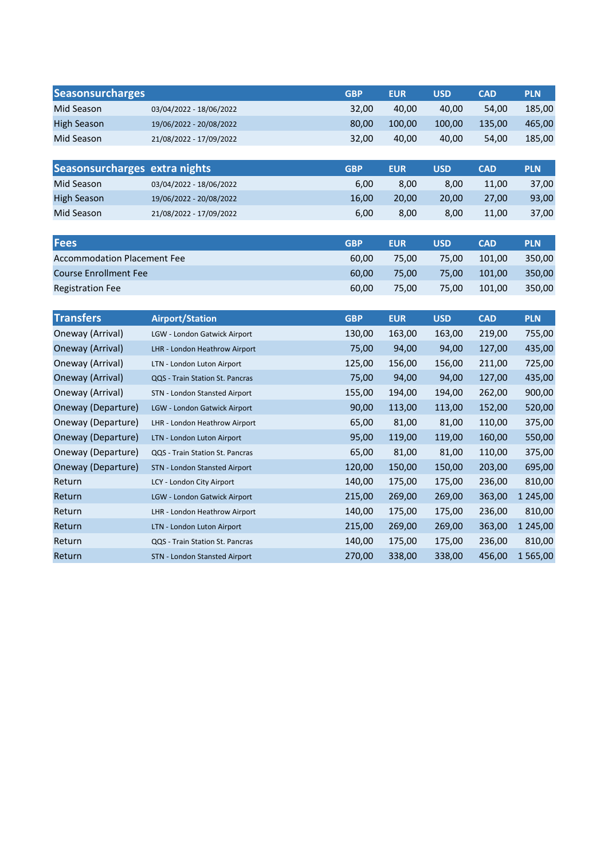| <b>Seasonsurcharges</b>            |                                      | <b>GBP</b> | <b>EUR</b> | <b>USD</b> | <b>CAD</b> | <b>PLN</b>    |
|------------------------------------|--------------------------------------|------------|------------|------------|------------|---------------|
| Mid Season                         | 03/04/2022 - 18/06/2022              | 32,00      | 40,00      | 40,00      | 54,00      | 185,00        |
| <b>High Season</b>                 | 19/06/2022 - 20/08/2022              | 80,00      | 100,00     | 100,00     | 135,00     | 465,00        |
| Mid Season                         | 21/08/2022 - 17/09/2022              | 32,00      | 40,00      | 40,00      | 54,00      | 185,00        |
|                                    |                                      |            |            |            |            |               |
| Seasonsurcharges extra nights      |                                      | <b>GBP</b> | <b>EUR</b> | <b>USD</b> | <b>CAD</b> | <b>PLN</b>    |
| Mid Season                         | 03/04/2022 - 18/06/2022              | 6,00       | 8,00       | 8,00       | 11,00      | 37,00         |
| <b>High Season</b>                 | 19/06/2022 - 20/08/2022              | 16,00      | 20,00      | 20,00      | 27,00      | 93,00         |
| Mid Season                         | 21/08/2022 - 17/09/2022              | 6,00       | 8,00       | 8,00       | 11,00      | 37,00         |
|                                    |                                      |            |            |            |            |               |
| <b>Fees</b>                        |                                      | <b>GBP</b> | <b>EUR</b> | <b>USD</b> | <b>CAD</b> | <b>PLN</b>    |
| <b>Accommodation Placement Fee</b> |                                      | 60,00      | 75,00      | 75,00      | 101,00     | 350,00        |
| <b>Course Enrollment Fee</b>       |                                      | 60,00      | 75,00      | 75,00      | 101,00     | 350,00        |
| <b>Registration Fee</b>            |                                      | 60,00      | 75,00      | 75,00      | 101,00     | 350,00        |
|                                    |                                      |            |            |            |            |               |
| <b>Transfers</b>                   | <b>Airport/Station</b>               | <b>GBP</b> | <b>EUR</b> | <b>USD</b> | <b>CAD</b> | <b>PLN</b>    |
| Oneway (Arrival)                   | LGW - London Gatwick Airport         | 130,00     | 163,00     | 163,00     | 219,00     | 755,00        |
| Oneway (Arrival)                   | LHR - London Heathrow Airport        | 75,00      | 94,00      | 94,00      | 127,00     | 435,00        |
| Oneway (Arrival)                   | LTN - London Luton Airport           | 125,00     | 156,00     | 156,00     | 211,00     | 725,00        |
| Oneway (Arrival)                   | QQS - Train Station St. Pancras      | 75,00      | 94,00      | 94,00      | 127,00     | 435,00        |
| Oneway (Arrival)                   | STN - London Stansted Airport        | 155,00     | 194,00     | 194,00     | 262,00     | 900,00        |
| Oneway (Departure)                 | LGW - London Gatwick Airport         | 90,00      | 113,00     | 113,00     | 152,00     | 520,00        |
| Oneway (Departure)                 | LHR - London Heathrow Airport        | 65,00      | 81,00      | 81,00      | 110,00     | 375,00        |
| Oneway (Departure)                 | LTN - London Luton Airport           | 95,00      | 119,00     | 119,00     | 160,00     | 550,00        |
| Oneway (Departure)                 | QQS - Train Station St. Pancras      | 65,00      | 81,00      | 81,00      | 110,00     | 375,00        |
| Oneway (Departure)                 | <b>STN - London Stansted Airport</b> | 120,00     | 150,00     | 150,00     | 203,00     | 695,00        |
| Return                             | LCY - London City Airport            | 140,00     | 175,00     | 175,00     | 236,00     | 810,00        |
| Return                             | LGW - London Gatwick Airport         | 215,00     | 269,00     | 269,00     | 363,00     | 1 2 4 5 , 0 0 |
| Return                             | LHR - London Heathrow Airport        | 140,00     | 175,00     | 175,00     | 236,00     | 810,00        |
| Return                             | LTN - London Luton Airport           | 215,00     | 269,00     | 269,00     | 363,00     | 1 2 4 5 , 0 0 |
| Return                             | QQS - Train Station St. Pancras      | 140,00     | 175,00     | 175,00     | 236,00     | 810,00        |
| Return                             | <b>STN - London Stansted Airport</b> | 270,00     | 338,00     | 338,00     | 456,00     | 1565,00       |